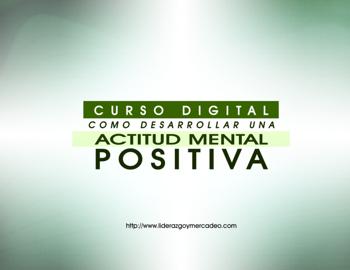## CURSO DIGITAL COMO DESARROLLAR UNA **ACTITUD MENTAL** POSITIVA

http://www.liderazgoymercadeo.com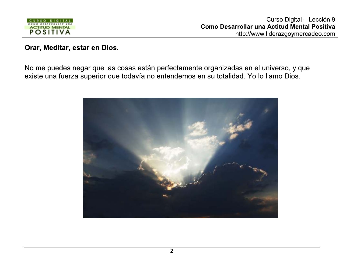

## Orar, Meditar, estar en Dios.

No me puedes negar que las cosas están perfectamente organizadas en el universo, y que existe una fuerza superior que todavía no entendemos en su totalidad. Yo lo llamo Dios.

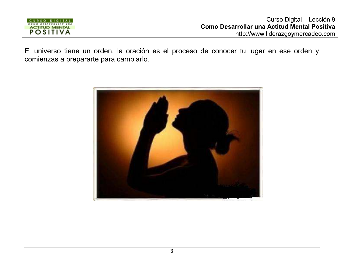

El universo tiene un orden, la oración es el proceso de conocer tu lugar en ese orden y comienzas a prepararte para cambiarlo.

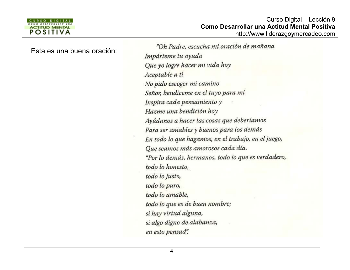

Esta es una buena oración:

"Oh Padre, escucha mi oración de mañana Impárteme tu ayuda Que yo logre hacer mi vida hoy Aceptable a ti No pido escoger mi camino Señor, bendíceme en el tuyo para mí Inspira cada pensamiento y Hazme una bendición hoy Ayúdanos a hacer las cosas que deberíamos Para ser amables y buenos para los demás En todo lo que hagamos, en el trabajo, en el juego, Oue seamos más amorosos cada día. "Por lo demás, hermanos, todo lo que es verdadero, todo lo honesto, todo lo justo, todo lo puro, todo lo amable, todo lo que es de buen nombre; si hay virtud alguna, si algo digno de alabanza, en esto pensad".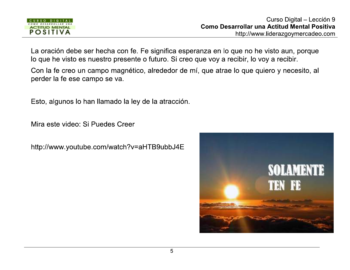

La oración debe ser hecha con fe. Fe significa esperanza en lo que no he visto aun, porque lo que he visto es nuestro presente o futuro. Si creo que voy a recibir, lo voy a recibir.

Con la fe creo un campo magnético, alrededor de mí, que atrae lo que quiero y necesito, al perder la fe ese campo se va.

Esto, algunos lo han llamado la ley de la atracción.

Mira este video: Si Puedes Creer

http://www.youtube.com/watch?v=aHTB9ubbJ4E

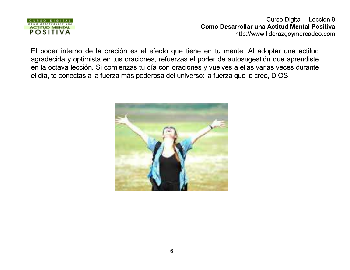

El poder interno de la oración es el efecto que tiene en tu mente. Al adoptar una actitud agradecida y optimista en tus oraciones, refuerzas el poder de autosugestión que aprendiste en la octava lección. Si comienzas tu día con oraciones y vuelves a ellas varias veces durante el día, te conectas a la fuerza más poderosa del universo: la fuerza que lo creo, DIOS

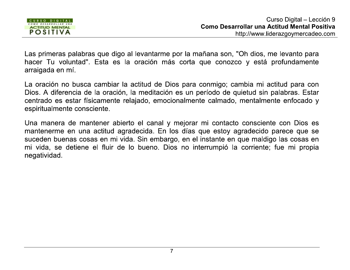

Las primeras palabras que digo al levantarme por la mañana son, "Oh dios, me levanto para hacer Tu voluntad". Esta es la oración más corta que conozco y está profundamente arraigada en mí.

La oración no busca cambiar la actitud de Dios para conmigo; cambia mi actitud para con Dios. A diferencia de la oración, la meditación es un período de quietud sin palabras. Estar centrado es estar físicamente relajado, emocionalmente calmado, mentalmente enfocado y espiritualmente consciente.

Una manera de mantener abierto el canal y mejorar mi contacto consciente con Dios es mantenerme en una actitud agradecida. En los días que estoy agradecido parece que se suceden buenas cosas en mi vida. Sin embargo, en el instante en que maldigo las cosas en mi vida, se detiene el fluir de lo bueno. Dios no interrumpió la corriente; fue mi propia negatividad.